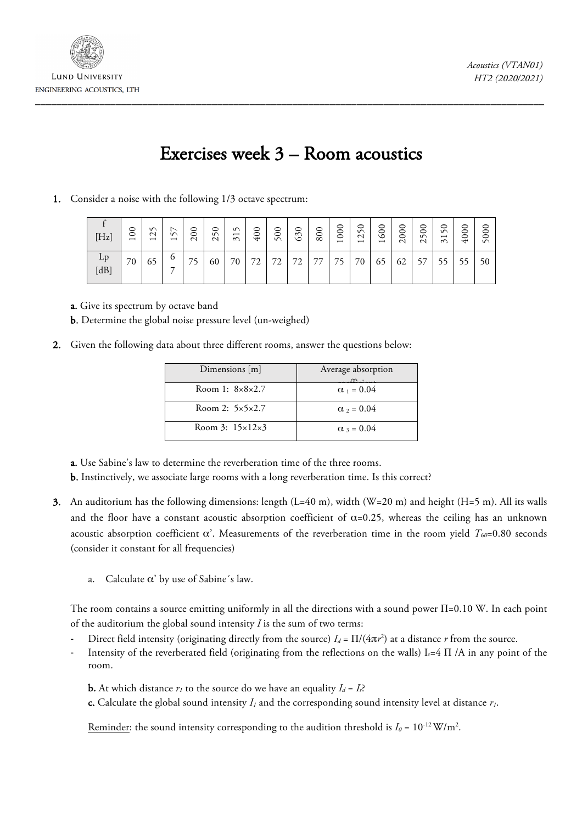

## Exercises week 3 – Room acoustics

1. Consider a noise with the following 1/3 octave spectrum:

| [Hz]       | 0<br>$\circ$<br>$\overline{\phantom{0}}$ | S<br>$\mathbf{\sim}$<br>$\overline{\phantom{0}}$ | ↖<br>S<br>$\overline{\phantom{0}}$ | $\circ$<br>$\circ$<br>$\sim$ | $\circ$<br>$\sqrt{ }$<br>$\mathcal{L}$ | n<br>$\overline{\phantom{0}}$<br>$\sim$ | 0<br>$\tilde{\mathcal{L}}$ | 0<br>50 | ○<br>63 | 800 | 000<br>$\overline{\phantom{0}}$ | 250<br>$\overline{\phantom{0}}$ | 600<br>$\overline{\phantom{0}}$ | 000<br>$\sim$ | 500<br>$\sim$ | 0<br>ΔÑ<br>$\overline{\phantom{0}}$<br>$\sim$ | 0<br>Š<br>$\overline{ }$ | $\circ$<br>⊂<br>m |
|------------|------------------------------------------|--------------------------------------------------|------------------------------------|------------------------------|----------------------------------------|-----------------------------------------|----------------------------|---------|---------|-----|---------------------------------|---------------------------------|---------------------------------|---------------|---------------|-----------------------------------------------|--------------------------|-------------------|
| Lp<br>[dB] | 70                                       | 65                                               | O<br>–                             | 75                           | 60                                     | 70                                      | 72<br>∠                    | 72<br>∠ | 72      | 77  | 75                              | 70                              | 65                              | 62            | 57            | 55                                            | 55                       | 50                |

a. Give its spectrum by octave band

b. Determine the global noise pressure level (un-weighed)

2. Given the following data about three different rooms, answer the questions below:

| Dimensions $[m]$                | Average absorption<br>$\sim \cdot$ |
|---------------------------------|------------------------------------|
| Room 1: $8 \times 8 \times 2.7$ | $\alpha_{1} = 0.04$                |
| Room 2: $5 \times 5 \times 2.7$ | $\alpha$ <sub>2</sub> = 0.04       |
| Room 3: $15 \times 12 \times 3$ | $\alpha_3 = 0.04$                  |

a. Use Sabine's law to determine the reverberation time of the three rooms.

b. Instinctively, we associate large rooms with a long reverberation time. Is this correct?

- 3. An auditorium has the following dimensions: length (L=40 m), width (W=20 m) and height (H=5 m). All its walls and the floor have a constant acoustic absorption coefficient of  $\alpha$ =0.25, whereas the ceiling has an unknown acoustic absorption coefficient α'. Measurements of the reverberation time in the room yield *T60*=0.80 seconds (consider it constant for all frequencies)
	- a. Calculate  $\alpha'$  by use of Sabine's law.

The room contains a source emitting uniformly in all the directions with a sound power Π=0.10 W. In each point of the auditorium the global sound intensity *I* is the sum of two terms:

- Direct field intensity (originating directly from the source)  $I_d = \Pi/(4\pi r^2)$  at a distance *r* from the source.
- Intensity of the reverberated field (originating from the reflections on the walls)  $I_r=4 \Pi /A$  in any point of the room.
	- **b.** At which distance  $r_l$  to the source do we have an equality  $I_d = I_r$ ?

c. Calculate the global sound intensity *I1* and the corresponding sound intensity level at distance *r1*.

<u>Reminder</u>: the sound intensity corresponding to the audition threshold is  $I_0 = 10^{-12} \text{W/m}^2$ .